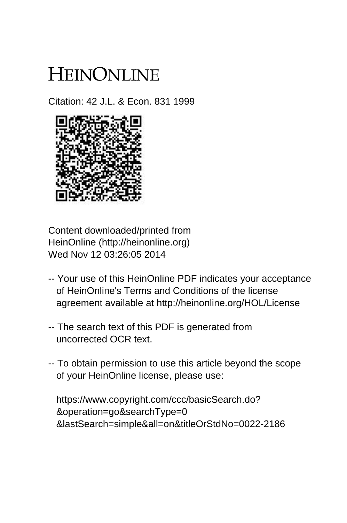# HEINONLINE

Citation: 42 J.L. & Econ. 831 1999



Content downloaded/printed from HeinOnline (http://heinonline.org) Wed Nov 12 03:26:05 2014

- -- Your use of this HeinOnline PDF indicates your acceptance of HeinOnline's Terms and Conditions of the license agreement available at http://heinonline.org/HOL/License
- -- The search text of this PDF is generated from uncorrected OCR text.
- -- To obtain permission to use this article beyond the scope of your HeinOnline license, please use:

 https://www.copyright.com/ccc/basicSearch.do? &operation=go&searchType=0 &lastSearch=simple&all=on&titleOrStdNo=0022-2186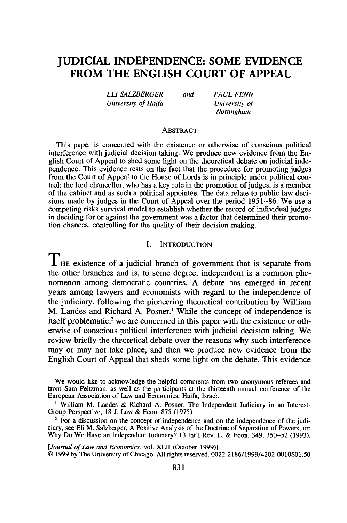# **JUDICIAL INDEPENDENCE: SOME EVIDENCE FROM THE ENGLISH COURT OF APPEAL**

*ELI SALZBERGER and PAUL FENN University of Haifa University of*

*Nottingham*

#### **ABSTRACT**

This paper is concerned with the existence or otherwise of conscious political interference with judicial decision taking. We produce new evidence from the English Court of Appeal to shed some light on the theoretical debate on judicial independence. This evidence rests on the fact that the procedure for promoting judges from the Court of Appeal to the House of Lords is in principle under political control: the lord chancellor, who has a key role in the promotion of judges, is a member of the cabinet and as such a political appointee. The data relate to public law decisions made by judges in the Court of Appeal over the period 1951-86. We use a competing risks survival model to establish whether the record of individual judges in deciding for or against the government was a factor that determined their promotion chances, controlling for the quality of their decision making.

#### I. **INTRODUCTION**

THE existence of a judicial branch of government that is separate from the other branches and is, to some degree, independent is a common phenomenon among democratic countries. A debate has emerged in recent years among lawyers and economists with regard to the independence of the judiciary, following the pioneering theoretical contribution by William M. Landes and Richard A. Posner.' While the concept of independence is itself problematic,<sup>2</sup> we are concerned in this paper with the existence or otherwise of conscious political interference with judicial decision taking. We review briefly the theoretical debate over the reasons why such interference may or may not take place, and then we produce new evidence from the English Court of Appeal that sheds some light on the debate. This evidence

*[Journal of Law and Economics,* vol. XLII (October 1999)] © 1999 by The University of Chicago. All rights reserved. 0022-2186/1999/4202-0010\$01.50

We would like to acknowledge the helpful comments from two anonymous referees and from Sam Peltzman, as well as the participants at the thirteenth annual conference of the European Association of Law and Economics, Haifa, Israel.

<sup>&</sup>lt;sup>1</sup> William M. Landes & Richard A. Posner, The Independent Judiciary in an Interest-Group Perspective, 18 **J.** Law & Econ. 875 (1975).

**<sup>2</sup>** For a discussion on the concept of independence and on the independence of the judiciary, see Eli M. Salzberger, A Positive Analysis of the Doctrine of Separation of Powers, or: Why Do We Have an Independent Judiciary? 13 Int'l Rev. L. & Econ. 349, 350-52 (1993).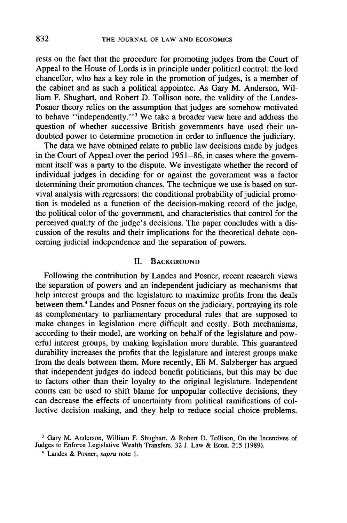rests on the fact that the procedure for promoting judges from the Court of Appeal to the House of Lords is in principle under political control: the lord chancellor, who has a key role in the promotion of judges, is a member of the cabinet and as such a political appointee. As Gary M. Anderson, William F. Shughart, and Robert D. Tollison note, the validity of the Landes-Posner theory relies on the assumption that judges are somehow motivated to behave "independently."<sup>3</sup> We take a broader view here and address the question of whether successive British governments have used their undoubted power to determine promotion in order to influence the judiciary.

The data we have obtained relate to public law decisions made by judges in the Court of Appeal over the period 1951-86, in cases where the government itself was a party to the dispute. We investigate whether the record of individual judges in deciding for or against the government was a factor determining their promotion chances. The technique we use is based on survival analysis with regressors: the conditional probability of judicial promotion is modeled as a function of the decision-making record of the judge, the political color of the government, and characteristics that control for the perceived quality of the judge's decisions. The paper concludes with a discussion of the results and their implications for the theoretical debate concerning judicial independence and the separation of powers.

#### II. **BACKGROUND**

Following the contribution by Landes and Posner, recent research views the separation of powers and an independent judiciary as mechanisms that help interest groups and the legislature to maximize profits from the deals between them.<sup>4</sup> Landes and Posner focus on the judiciary, portraying its role as complementary to parliamentary procedural rules that are supposed to make changes in legislation more difficult and costly. Both mechanisms, according to their model, are working on behalf of the legislature and powerful interest groups, by making legislation more durable. This guaranteed durability increases the profits that the legislature and interest groups make from the deals between them. More recently, Eli M. Salzberger has argued that independent judges do indeed benefit politicians, but this may be due to factors other than their loyalty to the original legislature. Independent courts can be used to shift blame for unpopular collective decisions, they can decrease the effects of uncertainty from political ramifications of collective decision making, and they help to reduce social choice problems.

<sup>&</sup>lt;sup>3</sup> Gary M. Anderson, William F. Shughart, & Robert D. Tollison, On the Incentives of Judges to Enforce Legislative Wealth Transfers, 32 J. Law & Econ. 215 (1989).

**<sup>&#</sup>x27;** Landes & Posner, supra note I.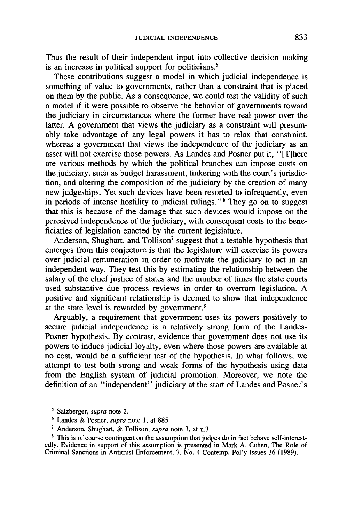Thus the result of their independent input into collective decision making is an increase in political support for politicians.<sup>5</sup>

These contributions suggest a model in which judicial independence is something of value to governments, rather than a constraint that is placed on them by the public. As a consequence, we could test the validity of such a model if it were possible to observe the behavior of governments toward the judiciary in circumstances where the former have real power over the latter. A government that views the judiciary as a constraint will presumably take advantage of any legal powers it has to relax that constraint, whereas a government that views the independence of the judiciary as an asset will not exercise those powers. As Landes and Posner put it, "[T]here are various methods by which the political branches can impose costs on the judiciary, such as budget harassment, tinkering with the court's jurisdiction, and altering the composition of the judiciary by the creation of many new judgeships. Yet such devices have been resorted to infrequently, even in periods of intense hostility to judicial rulings."<sup>6</sup> They go on to suggest that this is because of the damage that such devices would impose on the perceived independence of the judiciary, with consequent costs to the beneficiaries of legislation enacted by the current legislature.

Anderson, Shughart, and Tollison<sup>7</sup> suggest that a testable hypothesis that emerges from this conjecture is that the legislature will exercise its powers over judicial remuneration in order to motivate the judiciary to act in an independent way. They test this by estimating the relationship between the salary of the chief justice of states and the number of times the state courts used substantive due process reviews in order to overturn legislation. A positive and significant relationship is deemed to show that independence at the state level is rewarded by government.<sup>8</sup>

Arguably, a requirement that government uses its powers positively to secure judicial independence is a relatively strong form of the Landes-Posner hypothesis. By contrast, evidence that government does not use its powers to induce judicial loyalty, even where those powers are available at no cost, would be a sufficient test of the hypothesis. In what follows, we attempt to test both strong and weak forms of the hypothesis using data from the English system of judicial promotion. Moreover, we note the definition of an "independent" judiciary at the start of Landes and Posner's

**'** Salzberger, *supra* note 2.

<sup>8</sup> This is of course contingent on the assumption that judges do in fact behave self-interestedly. Evidence in support of this assumption is presented in Mark A. Cohen, The Role of Criminal Sanctions in Antitrust Enforcement, 7, No. 4 Contemp. Pol'y Issues 36 (1989).

<sup>6</sup>Landes & Posner, *supra* note 1, at 885.

Anderson, Shughart, & Tollison, *supra* note 3, at n.3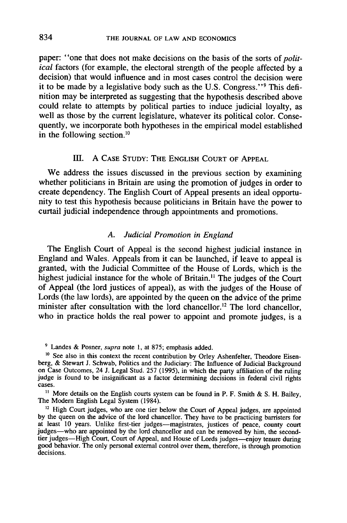paper: "one that does not make decisions on the basis of the sorts of *political* factors (for example, the electoral strength of the people affected **by** a decision) that would influence and in most cases control the decision were it to be made **by** a legislative body such as the **U.S.** Congress." 9 This definition may be interpreted as suggesting that the hypothesis described above could relate to attempts **by** political parties to induce judicial loyalty, as well as those **by** the current legislature, whatever its political color. Consequently, we incorporate both hypotheses in the empirical model established in the following section.<sup>10</sup>

#### III. A CASE STUDY: THE ENGLISH COURT OF APPEAL

We address the issues discussed in the previous section by examining whether politicians in Britain are using the promotion of judges in order to create dependency. The English Court of Appeal presents an ideal opportunity to test this hypothesis because politicians in Britain have the power to curtail judicial independence through appointments and promotions.

#### *A. Judicial Promotion in England*

The English Court of Appeal is the second highest judicial instance in England and Wales. Appeals from it can be launched, if leave to appeal is granted, with the Judicial Committee of the House of Lords, which is the highest judicial instance for the whole of Britain.<sup>11</sup> The judges of the Court of Appeal (the lord justices of appeal), as with the judges of the House of Lords (the law lords), are appointed **by** the queen on the advice of the prime minister after consultation with the lord chancellor.<sup>12</sup> The lord chancellor, who in practice holds the real power to appoint and promote judges, is a

Landes & Posner, *supra* note 1, at 875; emphasis added.

<sup>11</sup> More details on the English courts system can be found in P. F. Smith & S. H. Bailey, The Modem English Legal System (1984).

<sup>&</sup>lt;sup>10</sup> See also in this context the recent contribution by Orley Ashenfelter, Theodore Eisenberg, & Stewart J. Schwab, Politics and the Judiciary: The Influence of Judicial Background on Case Outcomes, 24 **J.** Legal Stud. 257 (1995), in which the party affiliation of the ruling judge is found to be insignificant as a factor determining decisions in federal civil rights cases.

<sup>&</sup>lt;sup>12</sup> High Court judges, who are one tier below the Court of Appeal judges, are appointed by the queen on the advice of the lord chancellor. They have to be practicing barristers for at least 10 years. Unlike first-tier judges-magistrates, justices of peace, county court judges-who are appointed by the lord chancellor and can be removed by him, the secondtier judges-High Court, Court of Appeal, and House of Lords judges-enjoy tenure during good behavior. The only personal external control over them, therefore, is through promotion decisions.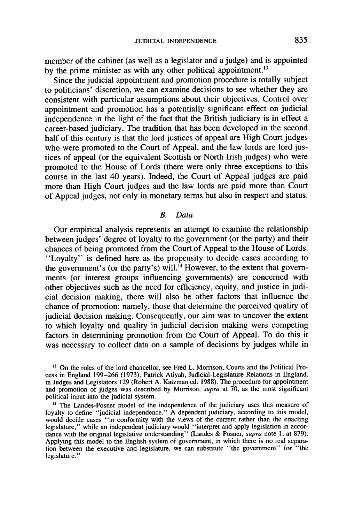member of the cabinet (as well as a legislator and a judge) and is appointed by the prime minister as with any other political appointment.<sup>13</sup>

Since the judicial appointment and promotion procedure is totally subject to politicians' discretion, we can examine decisions to see whether they are consistent with particular assumptions about their objectives. Control over appointment and promotion has a potentially significant effect on judicial independence in the light of the fact that the British judiciary is in effect a career-based judiciary. The tradition that has been developed in the second half of this century is that the lord justices of appeal are High Court judges who were promoted to the Court of Appeal, and the law lords are lord justices of appeal (or the equivalent Scottish or North Irish judges) who were promoted to the House of Lords (there were only three exceptions to this course in the last 40 years). Indeed, the Court of Appeal judges are paid more than High Court judges and the law lords are paid more than Court of Appeal judges, not only in monetary terms but also in respect and status.

#### B. Data

Our empirical analysis represents an attempt to examine the relationship between judges' degree of loyalty to the government (or the party) and their chances of being promoted from the Court of Appeal to the House of Lords. "Loyalty" is defined here as the propensity to decide cases according to the government's (or the party's) will.<sup>14</sup> However, to the extent that governments (or interest groups influencing governments) are concerned with other objectives such as the need for efficiency, equity, and justice in judicial decision making, there will also be other factors that influence the chance of promotion: namely, those that determine the perceived quality of judicial decision making. Consequently, our aim was to uncover the extent to which loyalty and quality in judicial decision making were competing factors in determining promotion from the Court of Appeal. To do this it was necessary to collect data on a sample of decisions by judges while in

<sup>&</sup>lt;sup>13</sup> On the roles of the lord chancellor, see Fred L. Morrison, Courts and the Political Process in England 199-266 (1973); Patrick Atiyah, Judicial-Legislature Relations in England, in Judges and Legislators 129 (Robert A. Katzman ed. 1988). The procedure for appointment and promotion of judges was described by Morrison, *supra* at 70, as the most significant political input into the judicial system.

<sup>&</sup>lt;sup>14</sup> The Landes-Posner model of the independence of the judiciary uses this measure of loyalty to define "judicial independence." A dependent judiciary, according to this model would decide cases "in conformity with the views of the current rather than the enacting legislature," while an independent judiciary would "interpret and apply legislation in accordance with the original legislative understanding" (Landes & Posner, *supra* note 1, at 879). Applying this model to the English system of government, in which there is no real separation between the executive and legislature, we can substitute "the government" for "the legislature."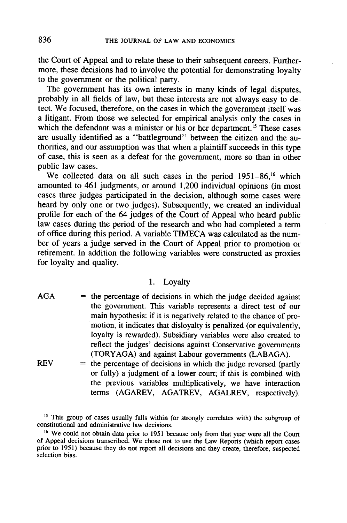the Court of Appeal and to relate these to their subsequent careers. Furthermore, these decisions had to involve the potential for demonstrating loyalty to the government or the political party.

The government has its own interests in many kinds of legal disputes, probably in all fields of law, but these interests are not always easy to detect. We focused, therefore, on the cases in which the government itself was a litigant. From those we selected for empirical analysis only the cases in which the defendant was a minister or his or her department.<sup>15</sup> These cases are usually identified as a "battleground" between the citizen and the authorities, and our assumption was that when a plaintiff succeeds in this type of case, this is seen as a defeat for the government, more so than in other public law cases.

We collected data on all such cases in the period  $1951-86$ ,<sup>16</sup> which amounted to 461 judgments, or around 1,200 individual opinions (in most cases three judges participated in the decision, although some cases were heard by only one or two judges). Subsequently, we created an individual profile for each of the 64 judges of the Court of Appeal who heard public law cases during the period of the research and who had completed a term of office during this period. A variable TIMECA was calculated as the number of years a judge served in the Court of Appeal prior to promotion or retirement. In addition the following variables were constructed as proxies for loyalty and quality.

#### 1. Loyalty

- $AGA$  = the percentage of decisions in which the judge decided against the government. This variable represents a direct test of our main hypothesis: if it is negatively related to the chance of promotion, it indicates that disloyalty is penalized (or equivalently, loyalty is rewarded). Subsidiary variables were also created to reflect the judges' decisions against Conservative governments (TORYAGA) and against Labour governments (LABAGA).
- $REV$  = the percentage of decisions in which the judge reversed (partly or fully) a judgment of a lower court; if this is combined with the previous variables multiplicatively, we have interaction terms (AGAREV, AGATREV, AGALREV, respectively).

<sup>15</sup> This group of cases usually falls within (or strongly correlates with) the subgroup of constitutional and administrative law decisions.

<sup>16</sup> We could not obtain data prior to 1951 because only from that year were all the Court of Appeal decisions transcribed. We chose not to use the Law Reports (which report cases prior to 1951) because they do not report all decisions and they create, therefore, suspected selection bias.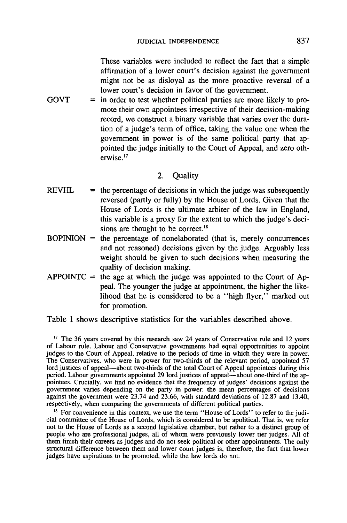These variables were included to reflect the fact that a simple affirmation of a lower court's decision against the government might not be as disloyal as the more proactive reversal of a lower court's decision in favor of the government.

GOVT **=** in order to test whether political parties are more likely to promote their own appointees irrespective of their decision-making record, we construct a binary variable that varies over the duration of a judge's term of office, taking the value one when the government in power is of the same political party that appointed the judge initially to the Court of Appeal, and zero otherwise.17

#### 2. Quality

- $REVHL$  = the percentage of decisions in which the judge was subsequently reversed (partly or fully) by the House of Lords. Given that the House of Lords is the ultimate arbiter of the law in England, this variable is a proxy for the extent to which the judge's decisions are thought to be correct.<sup>18</sup>
- $BOPINION =$  the percentage of nonelaborated (that is, merely concurrences and not reasoned) decisions given by the judge. Arguably less weight should be given to such decisions when measuring the quality of decision making.
- APPOINTC  $=$  the age at which the judge was appointed to the Court of Appeal. The younger the judge at appointment, the higher the likelihood that he is considered to be a "high flyer," marked out for promotion.

Table 1 shows descriptive statistics for the variables described above.

<sup>17</sup> The 36 years covered by this research saw 24 years of Conservative rule and 12 years of Labour rule. Labour and Conservative governments had equal opportunities to appoint judges to the Court of Appeal, relative to the periods of time in which they were in power. The Conservatives, who were in power for two-thirds of the relevant period, appointed 57 lord justices of appeal—about two-thirds of the total Court of Appeal appointees during this period. Labour governments appointed 29 lord justices of appeal-about one-third of the appointees. Crucially, we find no evidence that the frequency of judges' decisions against the government varies depending on the party in power: the mean percentages of decisions against the government were 23.74 and 23.66, with standard deviations of 12.87 and 13.40, respectively, when comparing the governments of different political parties.<br><sup>18</sup> For convenience in this context, we use the term "House of Lords" to refer to the judi-

cial committee of the House of Lords, which is considered to be apolitical. That is, we refer not to the House of Lords as a second legislative chamber, but rather to a distinct group of people who are professional judges, all of whom were previously lower tier judges. All of them finish their careers as judges and do not seek political or other appointments. The only structural difference between them and lower court judges is, therefore, the fact that lower judges have aspirations to be promoted, while the law lords do not.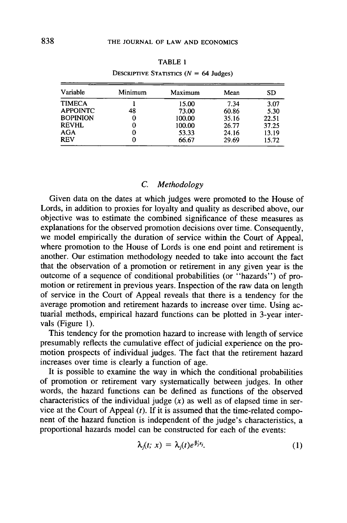| Variable        | Minimum | Maximum | Mean  | SD    |
|-----------------|---------|---------|-------|-------|
| TIMECA          |         | 15.00   | 7.34  | 3.07  |
| <b>APPOINTC</b> | 48      | 73.00   | 60.86 | 5.30  |
| <b>BOPINION</b> | 0       | 100.00  | 35.16 | 22.51 |
| <b>REVHL</b>    | 0       | 100.00  | 26.77 | 37.25 |
| AGA             | 0       | 53.33   | 24.16 | 13.19 |
| REV             | 0       | 66.67   | 29.69 | 15.72 |

TABLE 1

### DESCRIPTIVE STATISTICS  $(N = 64$  Judges)

#### *C. Methodology*

Given data on the dates at which judges were promoted to the House of Lords, in addition to proxies for loyalty and quality as described above, our objective was to estimate the combined significance of these measures as explanations for the observed promotion decisions over time. Consequently, we model empirically the duration of service within the Court of Appeal, where promotion to the House of Lords is one end point and retirement is another. Our estimation methodology needed to take into account the fact that the observation of a promotion or retirement in any given year is the outcome of a sequence of conditional probabilities (or "hazards") of promotion or retirement in previous years. Inspection of the raw data on length of service in the Court of Appeal reveals that there is a tendency for the average promotion and retirement hazards to increase over time. Using actuarial methods, empirical hazard functions can be plotted in 3-year intervals (Figure 1).

This tendency for the promotion hazard to increase with length of service presumably reflects the cumulative effect of judicial experience on the promotion prospects of individual judges. The fact that the retirement hazard increases over time is clearly a function of age.

It is possible to examine the way in which the conditional probabilities of promotion or retirement vary systematically between judges. In other words, the hazard functions can be defined as functions of the observed characteristics of the individual judge  $(x)$  as well as of elapsed time in service at the Court of Appeal  $(t)$ . If it is assumed that the time-related component of the hazard function is independent of the judge's characteristics, a proportional hazards model can be constructed for each of the events:

$$
\lambda_j(t; x) = \lambda_j(t) e^{\beta_j x_j}.
$$
 (1)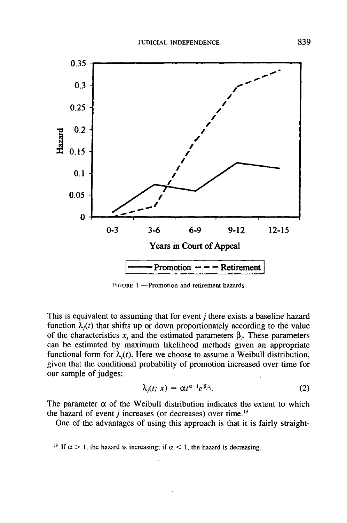

FIGURE 1.-Promotion and retirement hazards

This is equivalent to assuming that for event *j* there exists a baseline hazard function  $\lambda_i(t)$  that shifts up or down proportionately according to the value of the characteristics  $x_i$  and the estimated parameters  $\beta_i$ . These parameters can be estimated by maximum likelihood methods given an appropriate functional form for  $\lambda_i(t)$ . Here we choose to assume a Weibull distribution, given that the conditional probability of promotion increased over time for our sample of judges:

$$
\lambda_i(t; x) = \alpha t^{\alpha - 1} e^{\beta_j' x_j}.
$$
 (2)

The parameter  $\alpha$  of the Weibull distribution indicates the extent to which the hazard of event *j* increases (or decreases) over time.<sup>19</sup>

One of the advantages of using this approach is that it is fairly straight-

<sup>19</sup> If  $\alpha > 1$ , the hazard is increasing; if  $\alpha < 1$ , the hazard is decreasing.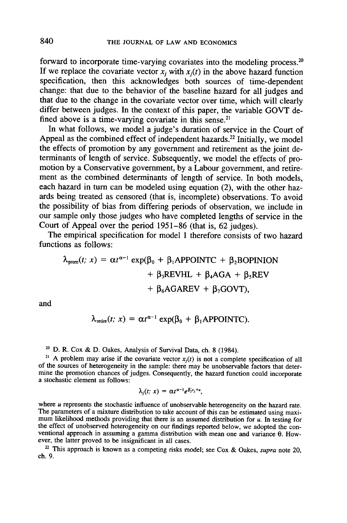forward to incorporate time-varying covariates into the modeling process.<sup>20</sup> If we replace the covariate vector  $x_i$  with  $x_i(t)$  in the above hazard function specification, then this acknowledges both sources of time-dependent change: that due to the behavior of the baseline hazard for all judges and that due to the change in the covariate vector over time, which will clearly differ between judges. In the context of this paper, the variable GOVT defined above is a time-varying covariate in this sense.<sup>21</sup>

In what follows, we model a judge's duration of service in the Court of Appeal as the combined effect of independent hazards.<sup>22</sup> Initially, we model the effects of promotion by any government and retirement as the joint determinants of length of service. Subsequently, we model the effects of promotion by a Conservative government, by a Labour government, and retirement as the combined determinants of length of service. In both models, each hazard in turn can be modeled using equation (2), with the other hazards being treated as censored (that is, incomplete) observations. To avoid the possibility of bias from differing periods of observation, we include in our sample only those judges who have completed lengths of service in the Court of Appeal over the period 1951-86 (that is, 62 judges).

The empirical specification for model 1 therefore consists of two hazard functions as follows:

$$
\lambda_{\text{prom}}(t; x) = \alpha t^{\alpha - 1} \exp(\beta_0 + \beta_1 \text{APPOINTC} + \beta_2 \text{BOPINION} + \beta_3 \text{REVHL} + \beta_4 \text{AGA} + \beta_5 \text{REV} + \beta_6 \text{AGAREV} + \beta_7 \text{GOVT},
$$

and

$$
\lambda_{reire}(t; x) = \alpha t^{\alpha-1} \exp(\beta_0 + \beta_1 \text{APPOINTC}).
$$

**20** D. R. Cox **&** D. Oakes, Analysis of Survival Data, ch. 8 (1984).

<sup>21</sup> A problem may arise if the covariate vector  $x_i(t)$  is not a complete specification of all of the sources of heterogeneity in the sample: there may be unobservable factors that determine the promotion chances of judges. Consequently, the hazard function could incorporate a stochastic element as follows:

$$
\lambda_j(t; x) = \alpha t^{\alpha-1} e^{\beta_j x_j + u},
$$

where *u* represents the stochastic influence of unobservable heterogeneity on the hazard rate. The parameters of a mixture distribution to take account of this can be estimated using maxi- mum likelihood methods providing that there is an assumed distribution for  $u$ . In testing for the effect of unobserved heterogeneity on our findings reported below, we adopted the con- ventional approach in assuming a gamma distribution with mean one and variance **0.** However, the latter proved to be insignificant in all cases.<br><sup>22</sup> This approach is known as a competing risks model; see Cox & Oakes, *supra* note 20,

ch. 9.

840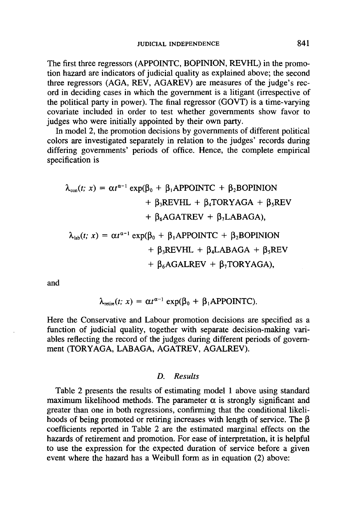The first three regressors (APPOINTC, BOPINION, REVHL) in the promotion hazard are indicators of judicial quality as explained above; the second three regressors (AGA, REV, AGAREV) are measures of the judge's record in deciding cases in which the government is a litigant (irrespective of the political party in power). The final regressor (GOVT) is a time-varying covariate included in order to test whether governments show favor to judges who were initially appointed by their own party.

In model 2, the promotion decisions by governments of different political colors are investigated separately in relation to the judges' records during differing governments' periods of office. Hence, the complete empirical specification is

$$
\lambda_{con}(t; x) = \alpha t^{\alpha - 1} \exp(\beta_0 + \beta_1 \text{APPOINTC} + \beta_2 \text{BOPINION} \n+ \beta_3 \text{REVHL} + \beta_4 \text{TORYAGA} + \beta_5 \text{REV} \n+ \beta_6 \text{AGATREV} + \beta_7 \text{LABAGA}),
$$
\n
$$
\lambda_{lab}(t; x) = \alpha t^{\alpha - 1} \exp(\beta_0 + \beta_1 \text{APPOINTC} + \beta_2 \text{BOPINION} \n+ \beta_3 \text{REVHL} + \beta_4 \text{LABAGA} + \beta_5 \text{REV} \n+ \beta_6 \text{AGALREV} + \beta_7 \text{TORYAGA}),
$$

and

$$
\lambda_{\text{reire}}(t; x) = \alpha t^{\alpha-1} \exp(\beta_0 + \beta_1 \text{APPOINTC}).
$$

Here the Conservative and Labour promotion decisions are specified as a function of judicial quality, together with separate decision-making variables reflecting the record of the judges during different periods of government (TORYAGA, LABAGA, AGATREV, AGALREV).

#### *D. Results*

Table 2 presents the results of estimating model 1 above using standard maximum likelihood methods. The parameter  $\alpha$  is strongly significant and greater than one in both regressions, confirming that the conditional likelihoods of being promoted or retiring increases with length of service. The  $\beta$ coefficients reported in Table 2 are the estimated marginal effects on the hazards of retirement and promotion. For ease of interpretation, it is helpful to use the expression for the expected duration of service before a given event where the hazard has a Weibull form as in equation (2) above: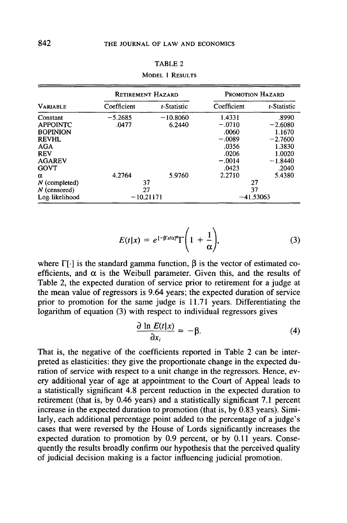|                 | <b>RETIREMENT HAZARD</b> |             | PROMOTION HAZARD |             |
|-----------------|--------------------------|-------------|------------------|-------------|
| <b>VARIABLE</b> | Coefficient              | t-Statistic | Coefficient      | t-Statistic |
| Constant        | $-5.2685$                | $-10.8060$  | 1.4331           | .8990       |
| <b>APPOINTC</b> | .0477                    | 6.2440      | $-.0710$         | $-2.6080$   |
| <b>BOPINION</b> |                          |             | .0060            | 1.1670      |
| <b>REVHL</b>    |                          |             | $-.0089$         | $-2.7600$   |
| AGA             |                          |             | .0356            | 1.3830      |
| <b>REV</b>      |                          |             | .0206            | 1.0020      |
| <b>AGAREV</b>   |                          |             | $-.0014$         | $-1.8440$   |
| <b>GOVT</b>     |                          |             | .0423            | .2040       |
| α               | 4.2764                   | 5.9760      | 2.2710           | 5.4380      |
| $N$ (completed) | 37                       |             | 27               |             |
| $N$ (censored)  | 27                       |             | 37               |             |
| Log likelihood  | $-10.21171$              |             | $-41.53063$      |             |

## TABLE 2

MODEL 1 **RESULTS**

$$
E(t|x) = e^{[-\beta' x/\alpha]^{\alpha}} \Gamma\left(1 + \frac{1}{\alpha}\right), \tag{3}
$$

where  $\Gamma[\cdot]$  is the standard gamma function,  $\beta$  is the vector of estimated coefficients, and  $\alpha$  is the Weibull parameter. Given this, and the results of Table 2, the expected duration of service prior to retirement for a judge at the mean value of regressors is 9.64 years; the expected duration of service prior to promotion for the same judge is 11.71 years. Differentiating the logarithm of equation (3) with respect to individual regressors gives

$$
\frac{\partial \ln E(t|x)}{\partial x_i} = -\beta. \tag{4}
$$

That is, the negative of the coefficients reported in Table 2 can be interpreted as elasticities: they give the proportionate change in the expected duration of service with respect to a unit change in the regressors. Hence, every additional year of age at appointment to the Court of Appeal leads to a statistically significant 4.8 percent reduction in the expected duration to retirement (that is, by 0.46 years) and a statistically significant 7.1 percent increase in the expected duration to promotion (that is, by 0.83 years). Similarly, each additional percentage point added to the percentage of a judge's cases that were reversed by the House of Lords significantly increases the expected duration to promotion by 0.9 percent, or by 0.11 years. Consequently the results broadly confirm our hypothesis that the perceived quality of judicial decision making is a factor influencing judicial promotion.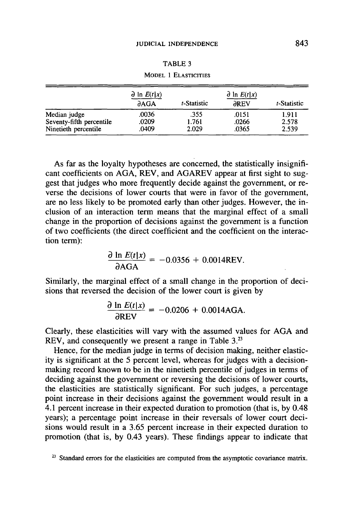#### TABLE 3

|                          | $\partial \ln E(t x)$ |             | $\partial \ln E(t x)$ |             |
|--------------------------|-----------------------|-------------|-----------------------|-------------|
|                          | $\partial AGA$        | t-Statistic | <b>AREV</b>           | t-Statistic |
| Median judge             | .0036                 | .355        | .0151                 | 1.911       |
| Seventy-fifth percentile | .0209                 | 1.761       | .0266                 | 2.578       |
| Ninetieth percentile     | .0409                 | 2.029       | .0365                 | 2.539       |

MODEL 1 **ELASTICITIES**

As far as the loyalty hypotheses are concerned, the statistically insignificant coefficients on AGA, REV, and AGAREV appear at first sight to suggest that judges who more frequently decide against the government, or reverse the decisions of lower courts that were in favor of the government, are no less likely to be promoted early than other judges. However, the inclusion of an interaction term means that the marginal effect of a small change in the proportion of decisions against the government is a function of two coefficients (the direct coefficient and the coefficient on the interaction term):

$$
\frac{\partial \ln E(t|x)}{\partial \text{AGA}} = -0.0356 + 0.0014\text{REV}.
$$

Similarly, the marginal effect of a small change in the proportion of decisions that reversed the decision of the lower court is given by

$$
\frac{\partial \ln E(t|x)}{\partial \text{REV}} = -0.0206 + 0.0014 \text{AGA}.
$$

Clearly, these elasticities will vary with the assumed values for AGA and REV, and consequently we present a range in Table **3.23**

Hence, for the median judge in terms of decision making, neither elasticity is significant at the 5 percent level, whereas for judges with a decisionmaking record known to be in the ninetieth percentile of judges in terms of deciding against the government or reversing the decisions of lower courts, the elasticities are statistically significant. For such judges, a percentage point increase in their decisions against the government would result in a 4.1 percent increase in their expected duration to promotion (that is, by 0.48 years); a percentage point increase in their reversals of lower court decisions would result in a 3.65 percent increase in their expected duration to promotion (that is, by 0.43 years). These findings appear to indicate that

<sup>&</sup>lt;sup>23</sup> Standard errors for the elasticities are computed from the asymptotic covariance matrix.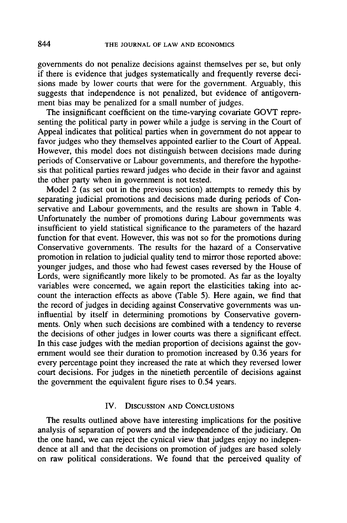governments do not penalize decisions against themselves per se, but only if there is evidence that judges systematically and frequently reverse decisions made by lower courts that were for the government. Arguably, this suggests that independence is not penalized, but evidence of antigovernment bias may be penalized for a small number of judges.

The insignificant coefficient on the time-varying covariate GOVT representing the political party in power while a judge is serving in the Court of Appeal indicates that political parties when in government do not appear to favor judges who they themselves appointed earlier to the Court of Appeal. However, this model does not distinguish between decisions made during periods of Conservative or Labour governments, and therefore the hypothesis that political parties reward judges who decide in their favor and against the other party when in government is not tested.

Model 2 (as set out in the previous section) attempts to remedy this by separating judicial promotions and decisions made during periods of Conservative and Labour governments, and the results are shown in Table 4. Unfortunately the number of promotions during Labour governments was insufficient to yield statistical significance to the parameters of the hazard function for that event. However, this was not so for the promotions during Conservative governments. The results for the hazard of a Conservative promotion in relation to judicial quality tend to mirror those reported above: younger judges, and those who had fewest cases reversed by the House of Lords, were significantly more likely to be promoted. As far as the loyalty variables were concerned, we again report the elasticities taking into account the interaction effects as above (Table 5). Here again, we find that the record of judges in deciding against Conservative governments was uninfluential by itself in determining promotions by Conservative governments. Only when such decisions are combined with a tendency to reverse the decisions of other judges in lower courts was there a significant effect. In this case judges with the median proportion of decisions against the government would see their duration to promotion increased by 0.36 years for every percentage point they increased the rate at which they reversed lower court decisions. For judges in the ninetieth percentile of decisions against the government the equivalent figure rises to 0.54 years.

#### IV. DISCUSSION **AND CONCLUSIONS**

The results outlined above have interesting implications for the positive analysis of separation of powers and the independence of the judiciary. On the one hand, we can reject the cynical view that judges enjoy no independence at all and that the decisions on promotion of judges are based solely on raw political considerations. We found that the perceived quality of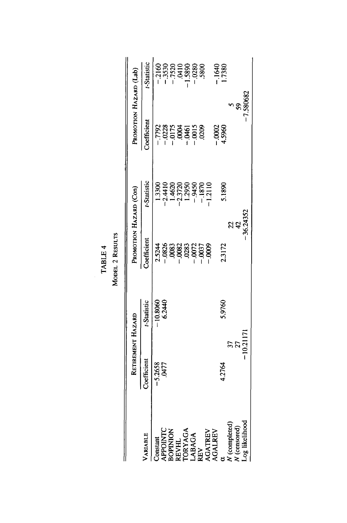| RETIREMENT HAZARD | PROMOTION HAZARD (Con)                                           |                                                                                                                                                                                                                                                                                                              | PROMOTION HAZARD (Lab)                                                                                      |                                                                                                             |
|-------------------|------------------------------------------------------------------|--------------------------------------------------------------------------------------------------------------------------------------------------------------------------------------------------------------------------------------------------------------------------------------------------------------|-------------------------------------------------------------------------------------------------------------|-------------------------------------------------------------------------------------------------------------|
| t-Statistic       | Coefficient                                                      | t-Statistic                                                                                                                                                                                                                                                                                                  | <b>Joefficient</b>                                                                                          | t-Statistic                                                                                                 |
|                   | 2.5244                                                           | 1.3300                                                                                                                                                                                                                                                                                                       | $-7792$                                                                                                     |                                                                                                             |
|                   |                                                                  |                                                                                                                                                                                                                                                                                                              |                                                                                                             |                                                                                                             |
|                   |                                                                  |                                                                                                                                                                                                                                                                                                              |                                                                                                             |                                                                                                             |
|                   |                                                                  |                                                                                                                                                                                                                                                                                                              |                                                                                                             |                                                                                                             |
|                   | .0283                                                            |                                                                                                                                                                                                                                                                                                              |                                                                                                             |                                                                                                             |
|                   | $-0072$                                                          |                                                                                                                                                                                                                                                                                                              |                                                                                                             |                                                                                                             |
|                   |                                                                  |                                                                                                                                                                                                                                                                                                              |                                                                                                             |                                                                                                             |
|                   |                                                                  |                                                                                                                                                                                                                                                                                                              |                                                                                                             |                                                                                                             |
|                   |                                                                  |                                                                                                                                                                                                                                                                                                              |                                                                                                             |                                                                                                             |
|                   |                                                                  |                                                                                                                                                                                                                                                                                                              |                                                                                                             | $1640$<br>0380                                                                                              |
|                   |                                                                  |                                                                                                                                                                                                                                                                                                              |                                                                                                             |                                                                                                             |
|                   |                                                                  |                                                                                                                                                                                                                                                                                                              |                                                                                                             |                                                                                                             |
|                   |                                                                  |                                                                                                                                                                                                                                                                                                              |                                                                                                             |                                                                                                             |
|                   | 5.9760<br>$-10.8060$<br>$6.2440$<br>$\frac{37}{27}$<br>-10.21171 | 2.3172<br>$-0826$<br>$-.0082$<br>$-0007 - 0009 - 0009 - 0009 - 0009 - 0009 - 0009 - 0009 - 0009 - 0009 - 0009 - 0009 - 0009 - 0009 - 0009 - 0009 - 0009 - 0009 - 0009 - 0009 - 0009 - 0009 - 0009 - 0009 - 0009 - 0009 - 0009 - 0009 - 0009 - 0009 - 0009 - 0009 - 0009 - 0009 - 0009 - 0009 - 000$<br>.0083 | 1890<br>$-2.4410$<br>1.4620<br>-2.3720<br>-2.3750<br>$-9450$<br>$-1870$<br>-1.2110<br>22<br>42<br>-36.24352 | 5<br>59 59<br>7.580682.<br>$-0228$<br>$-0175$<br>$-0004$<br>$-0002$<br>4.5960<br>$-0461$<br>$-0015$<br>0209 |

TABLE 4<br>Model 2 Results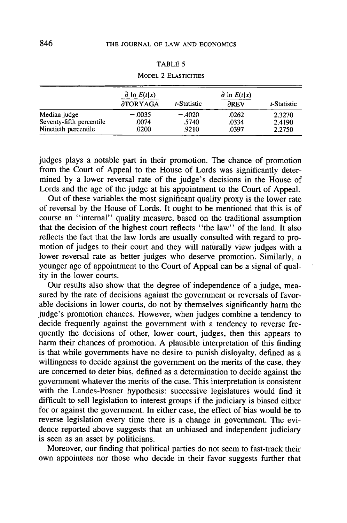#### TABLE 5

|                          | $\partial \ln E(t x)$ |             | $\partial \ln E(t x)$ |                     |
|--------------------------|-----------------------|-------------|-----------------------|---------------------|
|                          | <b>JTORYAGA</b>       | t-Statistic | $\partial$ REV        | <i>t</i> -Statistic |
| Median judge             | $-.0035$              | $-.4020$    | .0262                 | 2.3270              |
| Seventy-fifth percentile | .0074                 | .5740       | .0334                 | 2.4190              |
| Ninetieth percentile     | .0200                 | .9210       | .0397                 | 2.2750              |

MODEL 2 **ELASTICITIES**

judges plays a notable part in their promotion. The chance of promotion from the Court of Appeal to the House of Lords was significantly determined by a lower reversal rate of the judge's decisions in the House of Lords and the age of the judge at his appointment to the Court of Appeal.

Out of these variables the most significant quality proxy is the lower rate of reversal by the House of Lords. It ought to be mentioned that this is of course an "internal" quality measure, based on the traditional assumption that the decision of the highest court reflects "the law" of the land. It also reflects the fact that the law lords are usually consulted with regard to promotion of judges to their court and they will naturally view judges with a lower reversal rate as better judges who deserve promotion. Similarly, a younger age of appointment to the Court of Appeal can be a signal of quality in the lower courts.

Our results also show that the degree of independence of a judge, measured by the rate of decisions against the government or reversals of favorable decisions in lower courts, do not by themselves significantly harm the judge's promotion chances. However, when judges combine a tendency to decide frequently against the government with a tendency to reverse frequently the decisions of other, lower court, judges, then this appears to harm their chances of promotion. A plausible interpretation of this finding is that while governments have no desire to punish disloyalty, defined as a willingness to decide against the government on the merits of the case, they are concerned to deter bias, defined as a determination to decide against the government whatever the merits of the case. This interpretation is consistent with the Landes-Posner hypothesis: successive legislatures would find it difficult to sell legislation to interest groups if the judiciary is biased either for or against the government. In either case, the effect of bias would be to reverse legislation every time there is a change in government. The evidence reported above suggests that an unbiased and independent judiciary is seen as an asset by politicians.

Moreover, our finding that political parties do not seem to fast-track their own appointees nor those who decide in their favor suggests further that